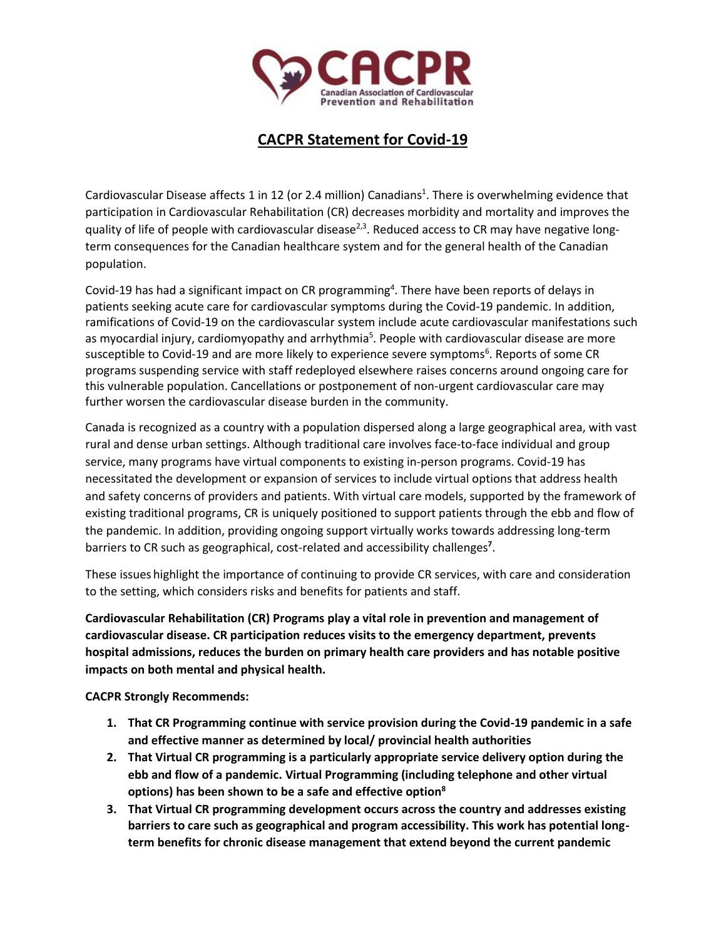

## **CACPR Statement for Covid-19**

Cardiovascular Disease affects 1 in 12 (or 2.4 million) Canadians<sup>1</sup>. There is overwhelming evidence that participation in Cardiovascular Rehabilitation (CR) decreases morbidity and mortality and improves the quality of life of people with cardiovascular disease<sup>2,3</sup>. Reduced access to CR may have negative longterm consequences for the Canadian healthcare system and for the general health of the Canadian population.

Covid-19 has had a significant impact on CR programming<sup>4</sup>. There have been reports of delays in patients seeking acute care for cardiovascular symptoms during the Covid-19 pandemic. In addition, ramifications of Covid-19 on the cardiovascular system include acute cardiovascular manifestations such as myocardial injury, cardiomyopathy and arrhythmia<sup>5</sup>. People with cardiovascular disease are more susceptible to Covid-19 and are more likely to experience severe symptoms<sup>6</sup>. Reports of some CR programs suspending service with staff redeployed elsewhere raises concerns around ongoing care for this vulnerable population. Cancellations or postponement of non-urgent cardiovascular care may further worsen the cardiovascular disease burden in the community.

Canada is recognized as a country with a population dispersed along a large geographical area, with vast rural and dense urban settings. Although traditional care involves face-to-face individual and group service, many programs have virtual components to existing in-person programs. Covid-19 has necessitated the development or expansion of services to include virtual options that address health and safety concerns of providers and patients. With virtual care models, supported by the framework of existing traditional programs, CR is uniquely positioned to support patients through the ebb and flow of the pandemic. In addition, providing ongoing support virtually works towards addressing long-term barriers to CR such as geographical, cost-related and accessibility challenges**<sup>7</sup>** .

These issues highlight the importance of continuing to provide CR services, with care and consideration to the setting, which considers risks and benefits for patients and staff.

**Cardiovascular Rehabilitation (CR) Programs play a vital role in prevention and management of cardiovascular disease. CR participation reduces visits to the emergency department, prevents hospital admissions, reduces the burden on primary health care providers and has notable positive impacts on both mental and physical health.**

**CACPR Strongly Recommends:**

- **1. That CR Programming continue with service provision during the Covid-19 pandemic in a safe and effective manner as determined by local/ provincial health authorities**
- **2. That Virtual CR programming is a particularly appropriate service delivery option during the ebb and flow of a pandemic. Virtual Programming (including telephone and other virtual options) has been shown to be a safe and effective option<sup>8</sup>**
- **3. That Virtual CR programming development occurs across the country and addresses existing barriers to care such as geographical and program accessibility. This work has potential longterm benefits for chronic disease management that extend beyond the current pandemic**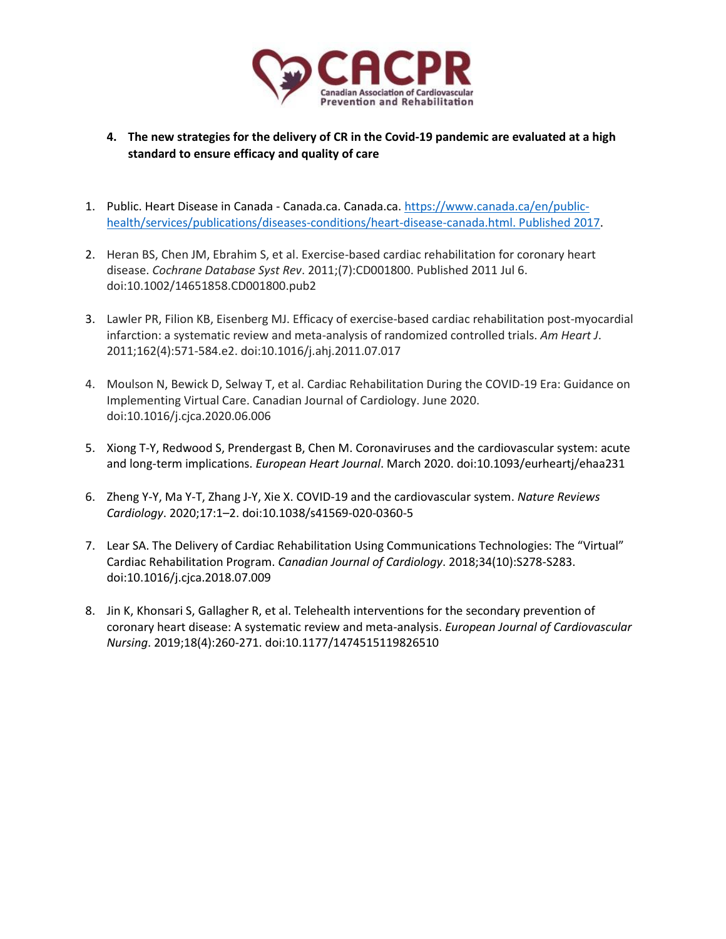

- **4. The new strategies for the delivery of CR in the Covid-19 pandemic are evaluated at a high standard to ensure efficacy and quality of care**
- 1. Public. Heart Disease in Canada Canada.ca. Canada.ca. [https://www.canada.ca/en/public](https://www.canada.ca/en/public-health/services/publications/diseases-conditions/heart-disease-canada.html.%20Published%202017)[health/services/publications/diseases-conditions/heart-disease-canada.html. Published 2017.](https://www.canada.ca/en/public-health/services/publications/diseases-conditions/heart-disease-canada.html.%20Published%202017)
- 2. Heran BS, Chen JM, Ebrahim S, et al. Exercise-based cardiac rehabilitation for coronary heart disease. *Cochrane Database Syst Rev*. 2011;(7):CD001800. Published 2011 Jul 6. doi:10.1002/14651858.CD001800.pub2
- 3. Lawler PR, Filion KB, Eisenberg MJ. Efficacy of exercise-based cardiac rehabilitation post-myocardial infarction: a systematic review and meta-analysis of randomized controlled trials. *Am Heart J*. 2011;162(4):571-584.e2. doi:10.1016/j.ahj.2011.07.017
- 4. Moulson N, Bewick D, Selway T, et al. Cardiac Rehabilitation During the COVID-19 Era: Guidance on Implementing Virtual Care. Canadian Journal of Cardiology. June 2020. doi:10.1016/j.cjca.2020.06.006
- 5. Xiong T-Y, Redwood S, Prendergast B, Chen M. Coronaviruses and the cardiovascular system: acute and long-term implications. *European Heart Journal*. March 2020. doi:10.1093/eurheartj/ehaa231
- 6. Zheng Y-Y, Ma Y-T, Zhang J-Y, Xie X. COVID-19 and the cardiovascular system. *Nature Reviews Cardiology*. 2020;17:1–2. doi:10.1038/s41569-020-0360-5
- 7. Lear SA. The Delivery of Cardiac Rehabilitation Using Communications Technologies: The "Virtual" Cardiac Rehabilitation Program. *Canadian Journal of Cardiology*. 2018;34(10):S278-S283. doi:10.1016/j.cjca.2018.07.009
- 8. Jin K, Khonsari S, Gallagher R, et al. Telehealth interventions for the secondary prevention of coronary heart disease: A systematic review and meta-analysis. *European Journal of Cardiovascular Nursing*. 2019;18(4):260-271. doi:10.1177/1474515119826510